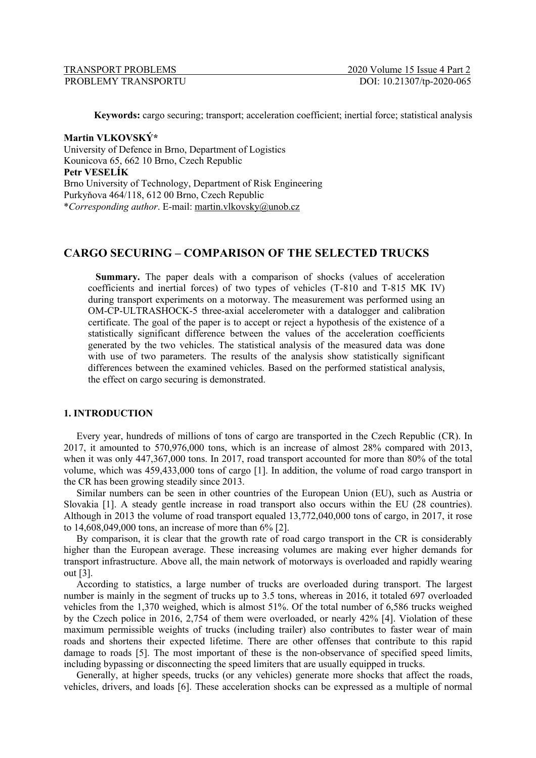| TRANSPORT PROBLEMS  |  |
|---------------------|--|
| PROBLEMY TRANSPORTU |  |

**Keywords:** cargo securing; transport; acceleration coefficient; inertial force; statistical analysis

# **Martin VLKOVSKÝ\***

University of Defence in Brno, Department of Logistics Kounicova 65, 662 10 Brno, Czech Republic **Petr VESELÍK** Brno University of Technology, Department of Risk Engineering Purkyňova 464/118, 612 00 Brno, Czech Republic \**Corresponding author*. E-mail: martin.vlkovsky@unob.cz

# **CARGO SECURING – COMPARISON OF THE SELECTED TRUCKS**

**Summary.** The paper deals with a comparison of shocks (values of acceleration coefficients and inertial forces) of two types of vehicles (T-810 and T-815 MK IV) during transport experiments on a motorway. The measurement was performed using an OM-CP-ULTRASHOCK-5 three-axial accelerometer with a datalogger and calibration certificate. The goal of the paper is to accept or reject a hypothesis of the existence of a statistically significant difference between the values of the acceleration coefficients generated by the two vehicles. The statistical analysis of the measured data was done with use of two parameters. The results of the analysis show statistically significant differences between the examined vehicles. Based on the performed statistical analysis, the effect on cargo securing is demonstrated.

## **1. INTRODUCTION**

Every year, hundreds of millions of tons of cargo are transported in the Czech Republic (CR). In 2017, it amounted to 570,976,000 tons, which is an increase of almost 28% compared with 2013, when it was only 447,367,000 tons. In 2017, road transport accounted for more than 80% of the total volume, which was 459,433,000 tons of cargo [1]. In addition, the volume of road cargo transport in the CR has been growing steadily since 2013.

Similar numbers can be seen in other countries of the European Union (EU), such as Austria or Slovakia [1]. A steady gentle increase in road transport also occurs within the EU (28 countries). Although in 2013 the volume of road transport equaled 13,772,040,000 tons of cargo, in 2017, it rose to 14,608,049,000 tons, an increase of more than 6% [2].

By comparison, it is clear that the growth rate of road cargo transport in the CR is considerably higher than the European average. These increasing volumes are making ever higher demands for transport infrastructure. Above all, the main network of motorways is overloaded and rapidly wearing out [3].

According to statistics, a large number of trucks are overloaded during transport. The largest number is mainly in the segment of trucks up to 3.5 tons, whereas in 2016, it totaled 697 overloaded vehicles from the 1,370 weighed, which is almost 51%. Of the total number of 6,586 trucks weighed by the Czech police in 2016, 2,754 of them were overloaded, or nearly 42% [4]. Violation of these maximum permissible weights of trucks (including trailer) also contributes to faster wear of main roads and shortens their expected lifetime. There are other offenses that contribute to this rapid damage to roads [5]. The most important of these is the non-observance of specified speed limits, including bypassing or disconnecting the speed limiters that are usually equipped in trucks.

Generally, at higher speeds, trucks (or any vehicles) generate more shocks that affect the roads, vehicles, drivers, and loads [6]. These acceleration shocks can be expressed as a multiple of normal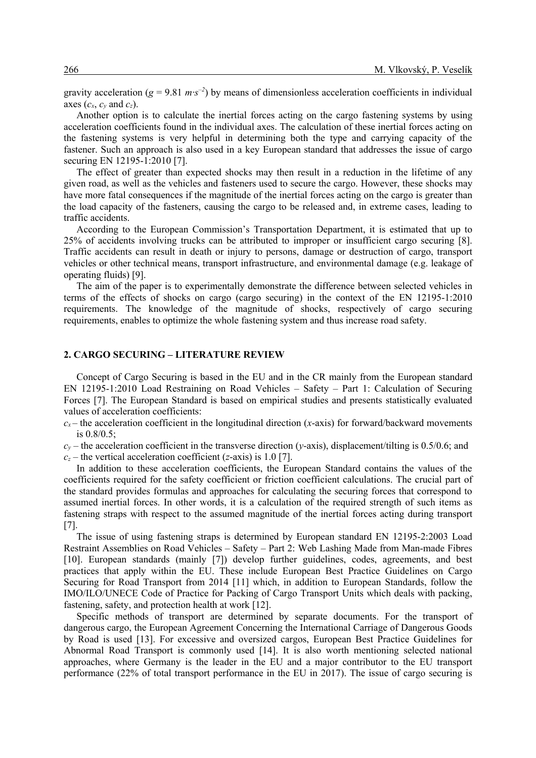gravity acceleration ( $g = 9.81 \ m \cdot s^{-2}$ ) by means of dimensionless acceleration coefficients in individual axes  $(c_x, c_y \text{ and } c_z)$ .

Another option is to calculate the inertial forces acting on the cargo fastening systems by using acceleration coefficients found in the individual axes. The calculation of these inertial forces acting on the fastening systems is very helpful in determining both the type and carrying capacity of the fastener. Such an approach is also used in a key European standard that addresses the issue of cargo securing EN 12195-1:2010 [7].

The effect of greater than expected shocks may then result in a reduction in the lifetime of any given road, as well as the vehicles and fasteners used to secure the cargo. However, these shocks may have more fatal consequences if the magnitude of the inertial forces acting on the cargo is greater than the load capacity of the fasteners, causing the cargo to be released and, in extreme cases, leading to traffic accidents.

According to the European Commission's Transportation Department, it is estimated that up to 25% of accidents involving trucks can be attributed to improper or insufficient cargo securing [8]. Traffic accidents can result in death or injury to persons, damage or destruction of cargo, transport vehicles or other technical means, transport infrastructure, and environmental damage (e.g. leakage of operating fluids) [9].

The aim of the paper is to experimentally demonstrate the difference between selected vehicles in terms of the effects of shocks on cargo (cargo securing) in the context of the EN 12195-1:2010 requirements. The knowledge of the magnitude of shocks, respectively of cargo securing requirements, enables to optimize the whole fastening system and thus increase road safety.

### **2. CARGO SECURING – LITERATURE REVIEW**

Concept of Cargo Securing is based in the EU and in the CR mainly from the European standard EN 12195-1:2010 Load Restraining on Road Vehicles – Safety – Part 1: Calculation of Securing Forces [7]. The European Standard is based on empirical studies and presents statistically evaluated values of acceleration coefficients:

 $c_x$  – the acceleration coefficient in the longitudinal direction (*x*-axis) for forward/backward movements is 0.8/0.5;

 $c_y$  – the acceleration coefficient in the transverse direction (*y*-axis), displacement/tilting is 0.5/0.6; and  $c_z$  – the vertical acceleration coefficient (*z*-axis) is 1.0 [7].

In addition to these acceleration coefficients, the European Standard contains the values of the coefficients required for the safety coefficient or friction coefficient calculations. The crucial part of the standard provides formulas and approaches for calculating the securing forces that correspond to assumed inertial forces. In other words, it is a calculation of the required strength of such items as fastening straps with respect to the assumed magnitude of the inertial forces acting during transport [7].

The issue of using fastening straps is determined by European standard EN 12195-2:2003 Load Restraint Assemblies on Road Vehicles – Safety – Part 2: Web Lashing Made from Man-made Fibres [10]. European standards (mainly [7]) develop further guidelines, codes, agreements, and best practices that apply within the EU. These include European Best Practice Guidelines on Cargo Securing for Road Transport from 2014 [11] which, in addition to European Standards, follow the IMO/ILO/UNECE Code of Practice for Packing of Cargo Transport Units which deals with packing, fastening, safety, and protection health at work [12].

Specific methods of transport are determined by separate documents. For the transport of dangerous cargo, the European Agreement Concerning the International Carriage of Dangerous Goods by Road is used [13]. For excessive and oversized cargos, European Best Practice Guidelines for Abnormal Road Transport is commonly used [14]. It is also worth mentioning selected national approaches, where Germany is the leader in the EU and a major contributor to the EU transport performance (22% of total transport performance in the EU in 2017). The issue of cargo securing is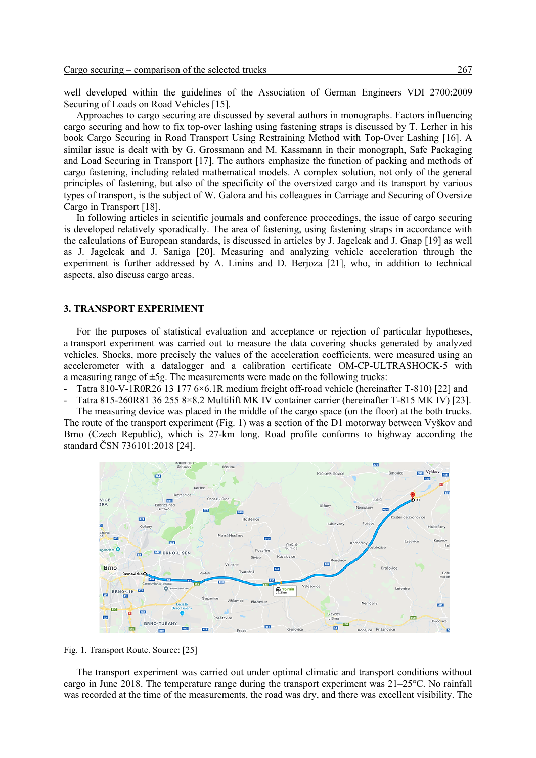well developed within the guidelines of the Association of German Engineers VDI 2700:2009 Securing of Loads on Road Vehicles [15].

Approaches to cargo securing are discussed by several authors in monographs. Factors influencing cargo securing and how to fix top-over lashing using fastening straps is discussed by T. Lerher in his book Cargo Securing in Road Transport Using Restraining Method with Top-Over Lashing [16]. A similar issue is dealt with by G. Grossmann and M. Kassmann in their monograph, Safe Packaging and Load Securing in Transport [17]. The authors emphasize the function of packing and methods of cargo fastening, including related mathematical models. A complex solution, not only of the general principles of fastening, but also of the specificity of the oversized cargo and its transport by various types of transport, is the subject of W. Galora and his colleagues in Carriage and Securing of Oversize Cargo in Transport [18].

In following articles in scientific journals and conference proceedings, the issue of cargo securing is developed relatively sporadically. The area of fastening, using fastening straps in accordance with the calculations of European standards, is discussed in articles by J. Jagelcak and J. Gnap [19] as well as J. Jagelcak and J. Saniga [20]. Measuring and analyzing vehicle acceleration through the experiment is further addressed by A. Linins and D. Berjoza [21], who, in addition to technical aspects, also discuss cargo areas.

#### **3. TRANSPORT EXPERIMENT**

For the purposes of statistical evaluation and acceptance or rejection of particular hypotheses, a transport experiment was carried out to measure the data covering shocks generated by analyzed vehicles. Shocks, more precisely the values of the acceleration coefficients, were measured using an accelerometer with a datalogger and a calibration certificate OM-CP-ULTRASHOCK-5 with a measuring range of ±5*g*. The measurements were made on the following trucks:

- Tatra 810-V-1R0R26 13 177 6×6.1R medium freight off-road vehicle (hereinafter T-810) [22] and
- Tatra 815-260R81 36 255 8×8.2 Multilift MK IV container carrier (hereinafter T-815 MK IV) [23].

The measuring device was placed in the middle of the cargo space (on the floor) at the both trucks. The route of the transport experiment (Fig. 1) was a section of the D1 motorway between Vyškov and Brno (Czech Republic), which is 27-km long. Road profile conforms to highway according the standard ČSN 736101:2018 [24].



Fig. 1. Transport Route. Source: [25]

The transport experiment was carried out under optimal climatic and transport conditions without cargo in June 2018. The temperature range during the transport experiment was 21–25°C. No rainfall was recorded at the time of the measurements, the road was dry, and there was excellent visibility. The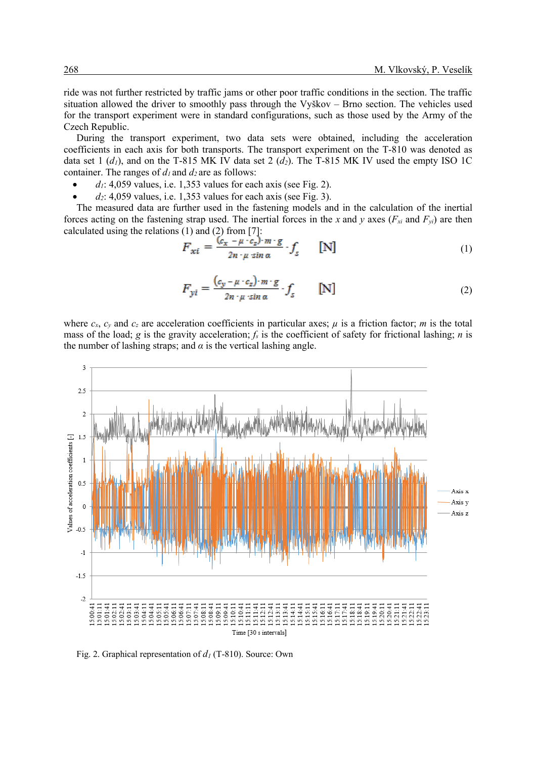ride was not further restricted by traffic jams or other poor traffic conditions in the section. The traffic situation allowed the driver to smoothly pass through the Vyškov – Brno section. The vehicles used for the transport experiment were in standard configurations, such as those used by the Army of the Czech Republic.

During the transport experiment, two data sets were obtained, including the acceleration coefficients in each axis for both transports. The transport experiment on the T-810 was denoted as data set 1  $(d_1)$ , and on the T-815 MK IV data set 2  $(d_2)$ . The T-815 MK IV used the empty ISO 1C container. The ranges of  $d_1$  and  $d_2$  are as follows:

- $d_1$ : 4,059 values, i.e. 1,353 values for each axis (see Fig. 2).
- $d_2$ : 4,059 values, i.e. 1,353 values for each axis (see Fig. 3).

The measured data are further used in the fastening models and in the calculation of the inertial forces acting on the fastening strap used. The inertial forces in the *x* and *y* axes ( $F_{xi}$  and  $F_{yi}$ ) are then calculated using the relations (1) and (2) from [7]:

$$
F_{xi} = \frac{(c_x - \mu \cdot c_z) \cdot m \cdot g}{2n \cdot \mu \sin \alpha} \cdot f_s \qquad [N] \tag{1}
$$

$$
F_{yi} = \frac{(c_y - \mu \cdot c_z) \cdot m \cdot g}{2n \cdot \mu \cdot \sin \alpha} \cdot f_s \qquad [N] \tag{2}
$$

where  $c_x$ ,  $c_y$  and  $c_z$  are acceleration coefficients in particular axes;  $\mu$  is a friction factor; *m* is the total mass of the load; *g* is the gravity acceleration; *fs* is the coefficient of safety for frictional lashing; *n* is the number of lashing straps; and  $\alpha$  is the vertical lashing angle.



Fig. 2. Graphical representation of *d1* (T-810). Source: Own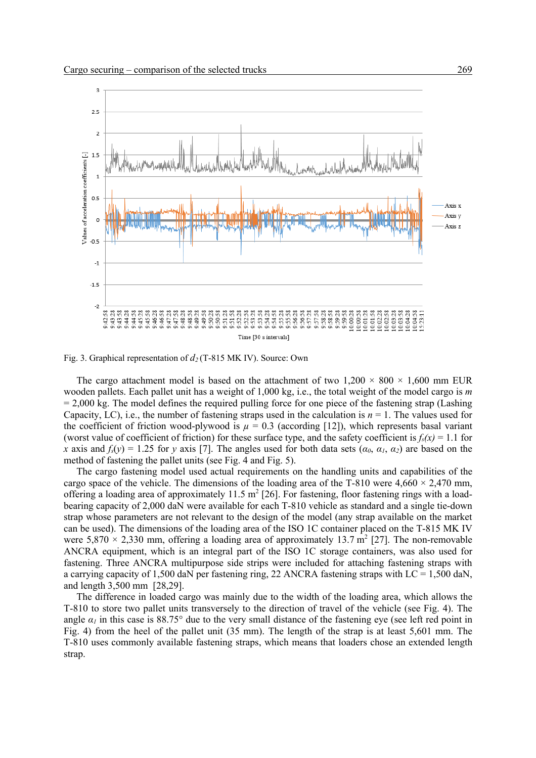

Fig. 3. Graphical representation of *d2* (T-815 MK IV). Source: Own

The cargo attachment model is based on the attachment of two  $1.200 \times 800 \times 1,600$  mm EUR wooden pallets. Each pallet unit has a weight of 1,000 kg, i.e., the total weight of the model cargo is *m*  $= 2,000$  kg. The model defines the required pulling force for one piece of the fastening strap (Lashing Capacity, LC), i.e., the number of fastening straps used in the calculation is  $n = 1$ . The values used for the coefficient of friction wood-plywood is  $\mu = 0.3$  (according [12]), which represents basal variant (worst value of coefficient of friction) for these surface type, and the safety coefficient is  $f_s(x) = 1.1$  for *x* axis and  $f_s(y) = 1.25$  for *y* axis [7]. The angles used for both data sets ( $a_0$ ,  $a_1$ ,  $a_2$ ) are based on the method of fastening the pallet units (see Fig. 4 and Fig. 5).

The cargo fastening model used actual requirements on the handling units and capabilities of the cargo space of the vehicle. The dimensions of the loading area of the T-810 were  $4,660 \times 2,470$  mm, offering a loading area of approximately 11.5  $m^2$  [26]. For fastening, floor fastening rings with a loadbearing capacity of 2,000 daN were available for each T-810 vehicle as standard and a single tie-down strap whose parameters are not relevant to the design of the model (any strap available on the market can be used). The dimensions of the loading area of the ISO 1C container placed on the T-815 MK IV were 5,870  $\times$  2,330 mm, offering a loading area of approximately 13.7 m<sup>2</sup> [27]. The non-removable ANCRA equipment, which is an integral part of the ISO 1C storage containers, was also used for fastening. Three ANCRA multipurpose side strips were included for attaching fastening straps with a carrying capacity of 1,500 daN per fastening ring, 22 ANCRA fastening straps with  $LC = 1,500$  daN, and length 3,500 mm [28,29].

The difference in loaded cargo was mainly due to the width of the loading area, which allows the T-810 to store two pallet units transversely to the direction of travel of the vehicle (see Fig. 4). The angle  $\alpha_1$  in this case is 88.75° due to the very small distance of the fastening eye (see left red point in Fig. 4) from the heel of the pallet unit (35 mm). The length of the strap is at least 5,601 mm. The T-810 uses commonly available fastening straps, which means that loaders chose an extended length strap.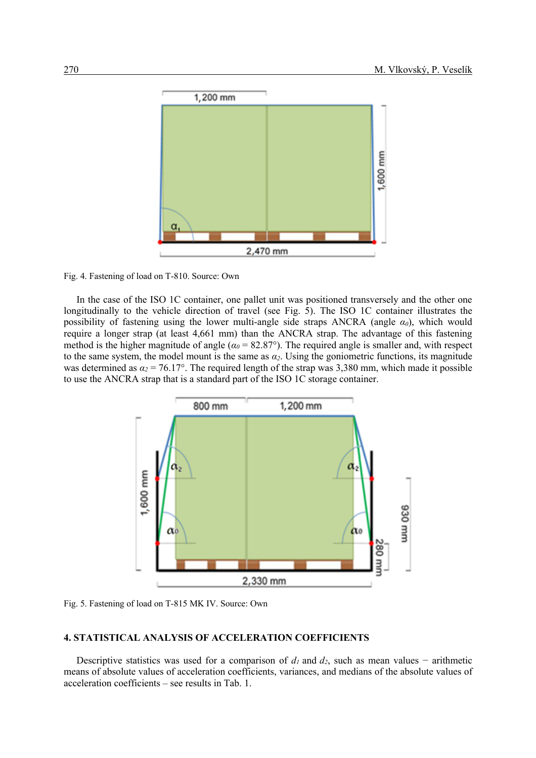

Fig. 4. Fastening of load on T-810. Source: Own

In the case of the ISO 1C container, one pallet unit was positioned transversely and the other one longitudinally to the vehicle direction of travel (see Fig. 5). The ISO 1C container illustrates the possibility of fastening using the lower multi-angle side straps ANCRA (angle  $\alpha_0$ ), which would require a longer strap (at least 4,661 mm) than the ANCRA strap. The advantage of this fastening method is the higher magnitude of angle ( $\alpha_0$  = 82.87°). The required angle is smaller and, with respect to the same system, the model mount is the same as  $\alpha_2$ . Using the goniometric functions, its magnitude was determined as  $\alpha_2 = 76.17^{\circ}$ . The required length of the strap was 3,380 mm, which made it possible to use the ANCRA strap that is a standard part of the ISO 1C storage container.



Fig. 5. Fastening of load on T-815 MK IV. Source: Own

### **4. STATISTICAL ANALYSIS OF ACCELERATION COEFFICIENTS**

Descriptive statistics was used for a comparison of  $d_1$  and  $d_2$ , such as mean values – arithmetic means of absolute values of acceleration coefficients, variances, and medians of the absolute values of acceleration coefficients – see results in Tab. 1.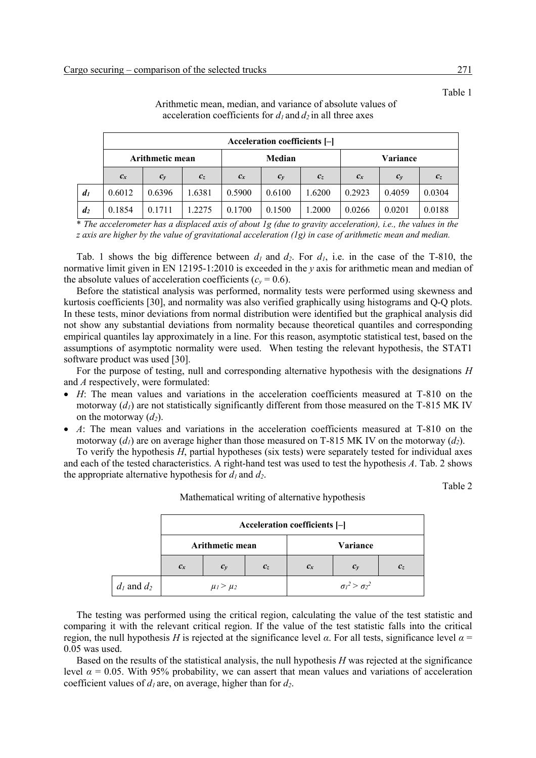|                  | Acceleration coefficients [-] |        |         |        |        |          |        |        |         |
|------------------|-------------------------------|--------|---------|--------|--------|----------|--------|--------|---------|
|                  | <b>Arithmetic mean</b>        |        | Median  |        |        | Variance |        |        |         |
|                  | $c_x$                         | $c_v$  | $c_{z}$ | $c_x$  | $c_v$  | $c_{z}$  | $c_x$  | $c_v$  | $c_{z}$ |
| $d_1$            | 0.6012                        | 0.6396 | 1.6381  | 0.5900 | 0.6100 | 1.6200   | 0.2923 | 0.4059 | 0.0304  |
| $\mathfrak{d}_2$ | 0.1854                        | 0.1711 | 1.2275  | 0.1700 | 0.1500 | 1.2000   | 0.0266 | 0.0201 | 0.0188  |

Arithmetic mean, median, and variance of absolute values of acceleration coefficients for  $d_1$  and  $d_2$  in all three axes

\* *The accelerometer has a displaced axis of about 1g (due to gravity acceleration), i.e., the values in the z axis are higher by the value of gravitational acceleration (1g) in case of arithmetic mean and median.*

Tab. 1 shows the big difference between  $d_1$  and  $d_2$ . For  $d_1$ , i.e. in the case of the T-810, the normative limit given in EN 12195-1:2010 is exceeded in the *y* axis for arithmetic mean and median of the absolute values of acceleration coefficients ( $c_y$  = 0.6).

Before the statistical analysis was performed, normality tests were performed using skewness and kurtosis coefficients [30], and normality was also verified graphically using histograms and Q-Q plots. In these tests, minor deviations from normal distribution were identified but the graphical analysis did not show any substantial deviations from normality because theoretical quantiles and corresponding empirical quantiles lay approximately in a line. For this reason, asymptotic statistical test, based on the assumptions of asymptotic normality were used. When testing the relevant hypothesis, the STAT1 software product was used [30].

For the purpose of testing, null and corresponding alternative hypothesis with the designations *H* and *A* respectively, were formulated:

- *H*: The mean values and variations in the acceleration coefficients measured at T-810 on the motorway  $(d<sub>l</sub>)$  are not statistically significantly different from those measured on the T-815 MK IV on the motorway  $(d_2)$ .
- *A*: The mean values and variations in the acceleration coefficients measured at T-810 on the motorway  $(d_1)$  are on average higher than those measured on T-815 MK IV on the motorway  $(d_2)$ .

To verify the hypothesis *H*, partial hypotheses (six tests) were separately tested for individual axes and each of the tested characteristics. A right-hand test was used to test the hypothesis *A*. Tab. 2 shows the appropriate alternative hypothesis for  $d_1$  and  $d_2$ .

Table 2

|                 | Acceleration coefficients [-] |                 |       |          |                           |       |  |
|-----------------|-------------------------------|-----------------|-------|----------|---------------------------|-------|--|
|                 | Arithmetic mean               |                 |       | Variance |                           |       |  |
|                 | $c_x$                         | $c_{v}$         | $c_z$ | $c_{x}$  | $c_v$                     | $c_z$ |  |
| $d_1$ and $d_2$ |                               | $\mu_1 > \mu_2$ |       |          | $\sigma_l^2 > \sigma_2^2$ |       |  |

Mathematical writing of alternative hypothesis

The testing was performed using the critical region, calculating the value of the test statistic and comparing it with the relevant critical region. If the value of the test statistic falls into the critical region, the null hypothesis *H* is rejected at the significance level *α*. For all tests, significance level *α* = 0.05 was used.

Based on the results of the statistical analysis, the null hypothesis *H* was rejected at the significance level  $\alpha = 0.05$ . With 95% probability, we can assert that mean values and variations of acceleration coefficient values of *d1* are, on average, higher than for *d2*.

Table 1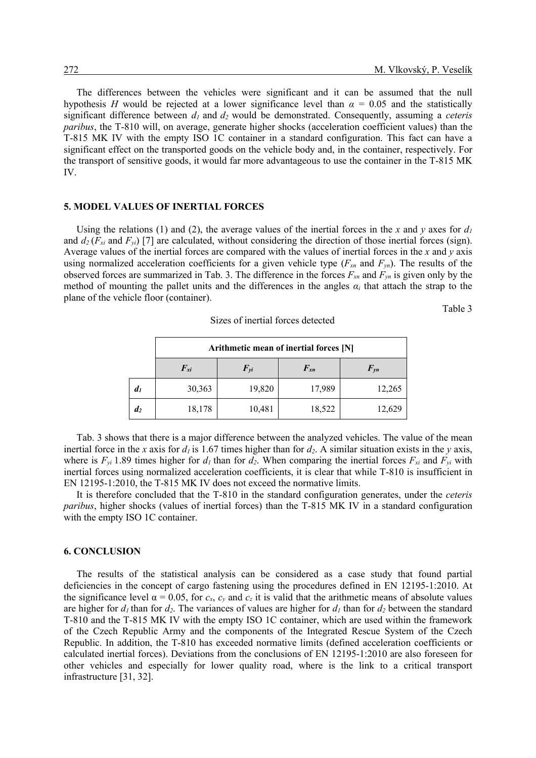The differences between the vehicles were significant and it can be assumed that the null hypothesis *H* would be rejected at a lower significance level than  $\alpha = 0.05$  and the statistically significant difference between  $d_1$  and  $d_2$  would be demonstrated. Consequently, assuming a *ceteris paribus*, the T-810 will, on average, generate higher shocks (acceleration coefficient values) than the T-815 MK IV with the empty ISO 1C container in a standard configuration. This fact can have a significant effect on the transported goods on the vehicle body and, in the container, respectively. For the transport of sensitive goods, it would far more advantageous to use the container in the T-815 MK IV.

#### **5. MODEL VALUES OF INERTIAL FORCES**

Using the relations (1) and (2), the average values of the inertial forces in the *x* and *y* axes for  $d_1$ and  $d_2(F_{xi}$  and  $F_{yi}$ ) [7] are calculated, without considering the direction of those inertial forces (sign). Average values of the inertial forces are compared with the values of inertial forces in the *x* and *y* axis using normalized acceleration coefficients for a given vehicle type  $(F_{xn}$  and  $F_{yn}$ ). The results of the observed forces are summarized in Tab. 3. The difference in the forces  $F_{xn}$  and  $F_{yn}$  is given only by the method of mounting the pallet units and the differences in the angles  $\alpha_i$  that attach the strap to the plane of the vehicle floor (container).

Table 3

|                    | Arithmetic mean of inertial forces [N] |          |          |          |  |  |  |
|--------------------|----------------------------------------|----------|----------|----------|--|--|--|
|                    | $F_{xi}$                               | $F_{yi}$ | $F_{xn}$ | $F_{yn}$ |  |  |  |
| $\mathfrak{d}_1$   | 30,363                                 | 19,820   | 17,989   | 12,265   |  |  |  |
| $\boldsymbol{d_2}$ | 18,178                                 | 10,481   | 18,522   | 12,629   |  |  |  |

Sizes of inertial forces detected

Tab. 3 shows that there is a major difference between the analyzed vehicles. The value of the mean inertial force in the *x* axis for  $d_1$  is 1.67 times higher than for  $d_2$ . A similar situation exists in the *y* axis, where is  $F_{yi}$  1.89 times higher for  $d_1$  than for  $d_2$ . When comparing the inertial forces  $F_{xi}$  and  $F_{yi}$  with inertial forces using normalized acceleration coefficients, it is clear that while T-810 is insufficient in EN 12195-1:2010, the T-815 MK IV does not exceed the normative limits.

It is therefore concluded that the T-810 in the standard configuration generates, under the *ceteris paribus*, higher shocks (values of inertial forces) than the T-815 MK IV in a standard configuration with the empty ISO 1C container.

#### **6. CONCLUSION**

The results of the statistical analysis can be considered as a case study that found partial deficiencies in the concept of cargo fastening using the procedures defined in EN 12195-1:2010. At the significance level  $\alpha = 0.05$ , for  $c_x$ ,  $c_y$  and  $c_z$  it is valid that the arithmetic means of absolute values are higher for  $d_1$  than for  $d_2$ . The variances of values are higher for  $d_1$  than for  $d_2$  between the standard T-810 and the T-815 MK IV with the empty ISO 1C container, which are used within the framework of the Czech Republic Army and the components of the Integrated Rescue System of the Czech Republic. In addition, the T-810 has exceeded normative limits (defined acceleration coefficients or calculated inertial forces). Deviations from the conclusions of EN 12195-1:2010 are also foreseen for other vehicles and especially for lower quality road, where is the link to a critical transport infrastructure [31, 32].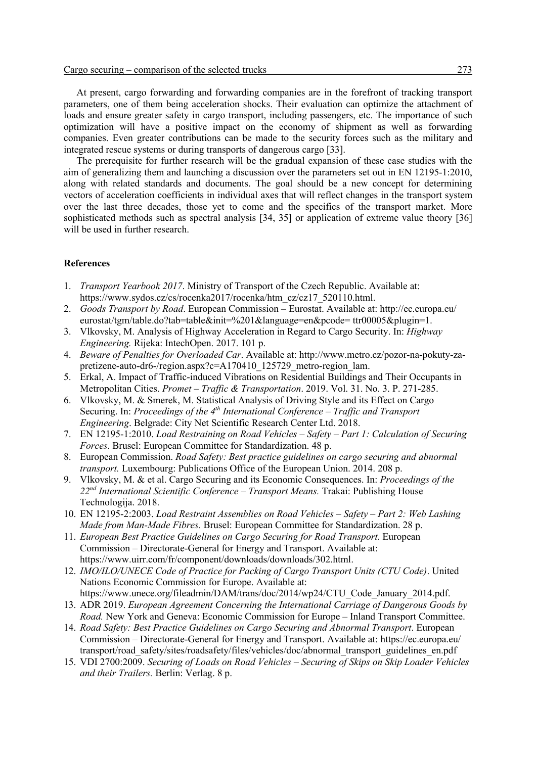At present, cargo forwarding and forwarding companies are in the forefront of tracking transport parameters, one of them being acceleration shocks. Their evaluation can optimize the attachment of loads and ensure greater safety in cargo transport, including passengers, etc. The importance of such optimization will have a positive impact on the economy of shipment as well as forwarding companies. Even greater contributions can be made to the security forces such as the military and integrated rescue systems or during transports of dangerous cargo [33].

The prerequisite for further research will be the gradual expansion of these case studies with the aim of generalizing them and launching a discussion over the parameters set out in EN 12195-1:2010, along with related standards and documents. The goal should be a new concept for determining vectors of acceleration coefficients in individual axes that will reflect changes in the transport system over the last three decades, those yet to come and the specifics of the transport market. More sophisticated methods such as spectral analysis [34, 35] or application of extreme value theory [36] will be used in further research.

### **References**

- 1. *Transport Yearbook 2017*. Ministry of Transport of the Czech Republic. Available at: https://www.sydos.cz/cs/rocenka2017/rocenka/htm\_cz/cz17\_520110.html.
- 2. *Goods Transport by Road*. European Commission Eurostat. Available at: http://ec.europa.eu/ eurostat/tgm/table.do?tab=table&init=%201&language=en&pcode= ttr00005&plugin=1.
- 3. Vlkovsky, M. Analysis of Highway Acceleration in Regard to Cargo Security. In: *Highway Engineering.* Rijeka: IntechOpen. 2017. 101 p.
- 4. *Beware of Penalties for Overloaded Car*. Available at: http://www.metro.cz/pozor-na-pokuty-zapretizene-auto-dr6-/region.aspx?c=A170410\_125729\_metro-region\_lam.
- 5. Erkal, A. Impact of Traffic-induced Vibrations on Residential Buildings and Their Occupants in Metropolitan Cities. *Promet – Traffic & Transportation*. 2019. Vol. 31. No. 3. P. 271-285.
- 6. Vlkovsky, M. & Smerek, M. Statistical Analysis of Driving Style and its Effect on Cargo Securing. In: *Proceedings of the 4<sup>th</sup> International Conference – Traffic and Transport Engineering*. Belgrade: City Net Scientific Research Center Ltd. 2018.
- 7. EN 12195-1:2010. *Load Restraining on Road Vehicles – Safety – Part 1: Calculation of Securing Forces*. Brusel: European Committee for Standardization. 48 p.
- 8. European Commission. *Road Safety: Best practice guidelines on cargo securing and abnormal transport.* Luxembourg: Publications Office of the European Union. 2014. 208 p.
- 9. Vlkovsky, M. & et al. Cargo Securing and its Economic Consequences. In: *Proceedings of the 22nd International Scientific Conference – Transport Means.* Trakai: Publishing House Technologija. 2018.
- 10. EN 12195-2:2003. *Load Restraint Assemblies on Road Vehicles – Safety – Part 2: Web Lashing Made from Man-Made Fibres.* Brusel: European Committee for Standardization. 28 p.
- 11. *European Best Practice Guidelines on Cargo Securing for Road Transport*. European Commission – Directorate-General for Energy and Transport. Available at: https://www.uirr.com/fr/component/downloads/downloads/302.html.
- 12. *IMO/ILO/UNECE Code of Practice for Packing of Cargo Transport Units (CTU Code)*. United Nations Economic Commission for Europe. Available at: https://www.unece.org/fileadmin/DAM/trans/doc/2014/wp24/CTU\_Code\_January\_2014.pdf.
- 13. ADR 2019. *European Agreement Concerning the International Carriage of Dangerous Goods by Road.* New York and Geneva: Economic Commission for Europe – Inland Transport Committee.
- 14. *Road Safety: Best Practice Guidelines on Cargo Securing and Abnormal Transport*. European Commission – Directorate-General for Energy and Transport. Available at: https://ec.europa.eu/ transport/road\_safety/sites/roadsafety/files/vehicles/doc/abnormal\_transport\_guidelines\_en.pdf
- 15. VDI 2700:2009. *Securing of Loads on Road Vehicles – Securing of Skips on Skip Loader Vehicles and their Trailers.* Berlin: Verlag. 8 p.